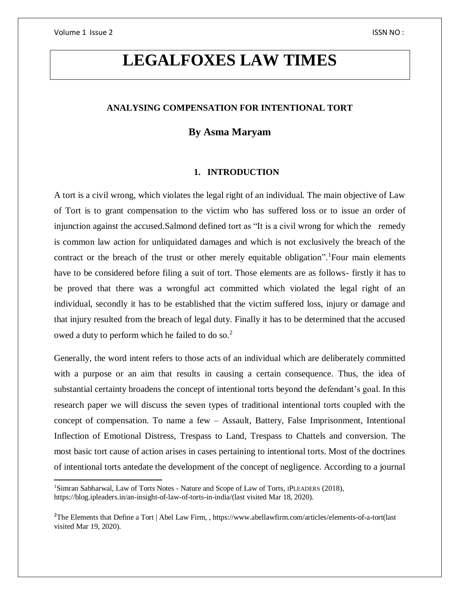$\overline{\phantom{a}}$ 

# **LEGALFOXES LAW TIMES**

## **ANALYSING COMPENSATION FOR INTENTIONAL TORT**

# **By Asma Maryam**

## **1. INTRODUCTION**

A tort is a civil wrong, which violates the legal right of an individual. The main objective of Law of Tort is to grant compensation to the victim who has suffered loss or to issue an order of injunction against the accused.Salmond defined tort as "It is a civil wrong for which the remedy is common law action for unliquidated damages and which is not exclusively the breach of the contract or the breach of the trust or other merely equitable obligation". Four main elements have to be considered before filing a suit of tort. Those elements are as follows- firstly it has to be proved that there was a wrongful act committed which violated the legal right of an individual, secondly it has to be established that the victim suffered loss, injury or damage and that injury resulted from the breach of legal duty. Finally it has to be determined that the accused owed a duty to perform which he failed to do so.<sup>2</sup>

Generally, the word intent refers to those acts of an individual which are deliberately committed with a purpose or an aim that results in causing a certain consequence. Thus, the idea of substantial certainty broadens the concept of intentional torts beyond the defendant's goal. In this research paper we will discuss the seven types of traditional intentional torts coupled with the concept of compensation. To name a few – Assault, Battery, False Imprisonment, Intentional Inflection of Emotional Distress, Trespass to Land, Trespass to Chattels and conversion. The most basic tort cause of action arises in cases pertaining to intentional torts. Most of the doctrines of intentional torts antedate the development of the concept of negligence. According to a journal

<sup>1</sup>Simran Sabharwal, Law of Torts Notes - Nature and Scope of Law of Torts, IPLEADERS (2018), [https://blog.ipleaders.in/an-insight-of-law-of-torts-in-india/\(](https://blog.ipleaders.in/an-insight-of-law-of-torts-in-india/)last visited Mar 18, 2020).

<sup>&</sup>lt;sup>2</sup>The Elements that Define a Tort | Abel Law Firm, , https://www.abellawfirm.com/articles/elements-of-a-tort(last visited Mar 19, 2020).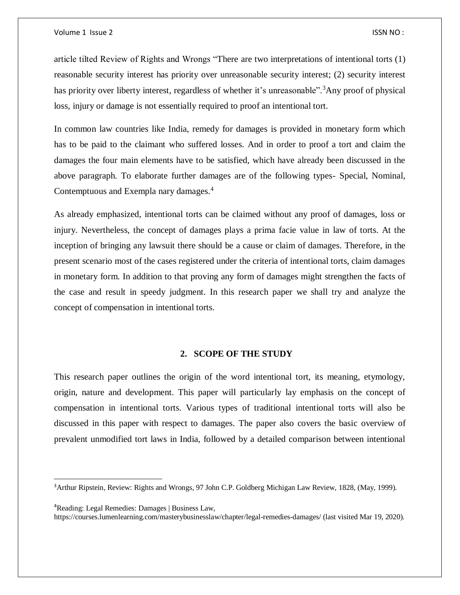article tilted Review of Rights and Wrongs "There are two interpretations of intentional torts (1) reasonable security interest has priority over unreasonable security interest; (2) security interest has priority over liberty interest, regardless of whether it's unreasonable".<sup>3</sup>Any proof of physical loss, injury or damage is not essentially required to proof an intentional tort.

In common law countries like India, remedy for damages is provided in monetary form which has to be paid to the claimant who suffered losses. And in order to proof a tort and claim the damages the four main elements have to be satisfied, which have already been discussed in the above paragraph. To elaborate further damages are of the following types- Special, Nominal, Contemptuous and Exempla nary damages.<sup>4</sup>

As already emphasized, intentional torts can be claimed without any proof of damages, loss or injury. Nevertheless, the concept of damages plays a prima facie value in law of torts. At the inception of bringing any lawsuit there should be a cause or claim of damages. Therefore, in the present scenario most of the cases registered under the criteria of intentional torts, claim damages in monetary form. In addition to that proving any form of damages might strengthen the facts of the case and result in speedy judgment. In this research paper we shall try and analyze the concept of compensation in intentional torts.

## **2. SCOPE OF THE STUDY**

This research paper outlines the origin of the word intentional tort, its meaning, etymology, origin, nature and development. This paper will particularly lay emphasis on the concept of compensation in intentional torts. Various types of traditional intentional torts will also be discussed in this paper with respect to damages. The paper also covers the basic overview of prevalent unmodified tort laws in India, followed by a detailed comparison between intentional

<sup>4</sup>Reading: Legal Remedies: Damages | Business Law,

 $\overline{a}$ 

<sup>&</sup>lt;sup>3</sup>Arthur Ripstein, Review: Rights and Wrongs, 97 John C.P. Goldberg Michigan Law Review, 1828, (May, 1999).

https://courses.lumenlearning.com/masterybusinesslaw/chapter/legal-remedies-damages/ (last visited Mar 19, 2020).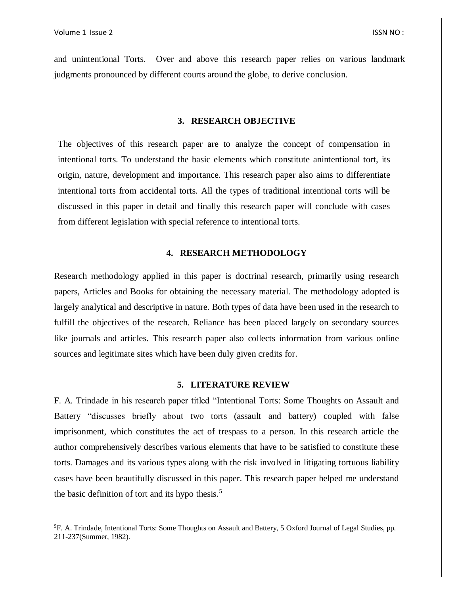$\overline{\phantom{a}}$ 

and unintentional Torts. Over and above this research paper relies on various landmark judgments pronounced by different courts around the globe, to derive conclusion.

## **3. RESEARCH OBJECTIVE**

The objectives of this research paper are to analyze the concept of compensation in intentional torts. To understand the basic elements which constitute anintentional tort, its origin, nature, development and importance. This research paper also aims to differentiate intentional torts from accidental torts. All the types of traditional intentional torts will be discussed in this paper in detail and finally this research paper will conclude with cases from different legislation with special reference to intentional torts.

## **4. RESEARCH METHODOLOGY**

Research methodology applied in this paper is doctrinal research, primarily using research papers, Articles and Books for obtaining the necessary material. The methodology adopted is largely analytical and descriptive in nature. Both types of data have been used in the research to fulfill the objectives of the research. Reliance has been placed largely on secondary sources like journals and articles. This research paper also collects information from various online sources and legitimate sites which have been duly given credits for.

### **5. LITERATURE REVIEW**

F. A. Trindade in his research paper titled "Intentional Torts: Some Thoughts on Assault and Battery "discusses briefly about two torts (assault and battery) coupled with false imprisonment, which constitutes the act of trespass to a person. In this research article the author comprehensively describes various elements that have to be satisfied to constitute these torts. Damages and its various types along with the risk involved in litigating tortuous liability cases have been beautifully discussed in this paper. This research paper helped me understand the basic definition of tort and its hypo thesis.<sup>5</sup>

<sup>5</sup>F. A. Trindade, Intentional Torts: Some Thoughts on Assault and Battery, 5 Oxford Journal of Legal Studies, pp. 211-237(Summer, 1982).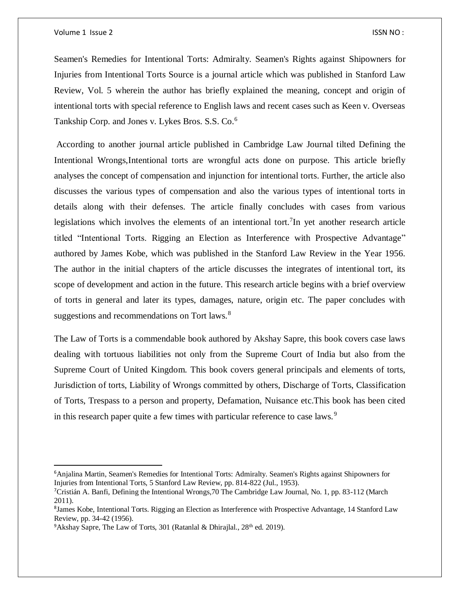$\overline{a}$ 

Seamen's Remedies for Intentional Torts: Admiralty. Seamen's Rights against Shipowners for Injuries from Intentional Torts Source is a journal article which was published in Stanford Law Review, Vol. 5 wherein the author has briefly explained the meaning, concept and origin of intentional torts with special reference to English laws and recent cases such as Keen v. Overseas Tankship Corp. and Jones v. Lykes Bros. S.S. Co.<sup>6</sup>

According to another journal article published in Cambridge Law Journal tilted Defining the Intentional Wrongs,Intentional torts are wrongful acts done on purpose. This article briefly analyses the concept of compensation and injunction for intentional torts. Further, the article also discusses the various types of compensation and also the various types of intentional torts in details along with their defenses. The article finally concludes with cases from various legislations which involves the elements of an intentional tort.  $\frac{7}{1}$ In yet another research article titled "Intentional Torts. Rigging an Election as Interference with Prospective Advantage" authored by James Kobe, which was published in the Stanford Law Review in the Year 1956. The author in the initial chapters of the article discusses the integrates of intentional tort, its scope of development and action in the future. This research article begins with a brief overview of torts in general and later its types, damages, nature, origin etc. The paper concludes with suggestions and recommendations on Tort laws.<sup>8</sup>

The Law of Torts is a commendable book authored by Akshay Sapre, this book covers case laws dealing with tortuous liabilities not only from the Supreme Court of India but also from the Supreme Court of United Kingdom. This book covers general principals and elements of torts, Jurisdiction of torts, Liability of Wrongs committed by others, Discharge of Torts, Classification of Torts, Trespass to a person and property, Defamation, Nuisance etc.This book has been cited in this research paper quite a few times with particular reference to case laws.<sup>9</sup>

<sup>6</sup>Anjalina Martin, Seamen's Remedies for Intentional Torts: Admiralty. Seamen's Rights against Shipowners for Injuries from Intentional Torts, 5 Stanford Law Review, pp. 814-822 (Jul., 1953).

<sup>7</sup>Cristián A. Banfi, Defining the Intentional Wrongs,70 The Cambridge Law Journal, No. 1, pp. 83-112 (March 2011).

<sup>&</sup>lt;sup>8</sup>James Kobe, Intentional Torts. Rigging an Election as Interference with Prospective Advantage, 14 Stanford Law Review, pp. 34-42 (1956).

<sup>&</sup>lt;sup>9</sup>Akshay Sapre, The Law of Torts, 301 (Ratanlal & Dhirajlal.,  $28<sup>th</sup>$  ed. 2019).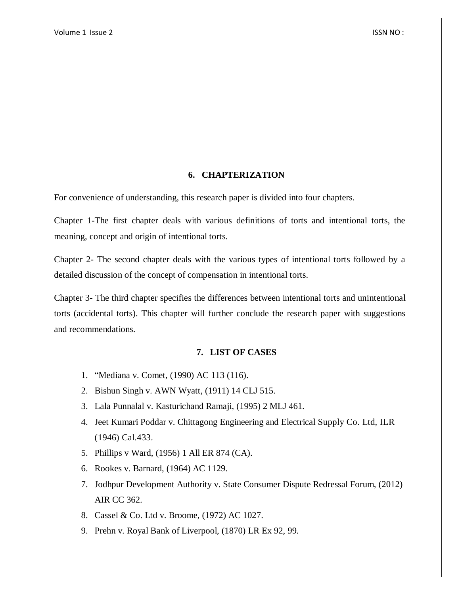## **6. CHAPTERIZATION**

For convenience of understanding, this research paper is divided into four chapters.

Chapter 1-The first chapter deals with various definitions of torts and intentional torts, the meaning, concept and origin of intentional torts.

Chapter 2- The second chapter deals with the various types of intentional torts followed by a detailed discussion of the concept of compensation in intentional torts.

Chapter 3- The third chapter specifies the differences between intentional torts and unintentional torts (accidental torts). This chapter will further conclude the research paper with suggestions and recommendations.

# **7. LIST OF CASES**

- 1. "Mediana v. Comet, (1990) AC 113 (116).
- 2. Bishun Singh v. AWN Wyatt, (1911) 14 CLJ 515.
- 3. Lala Punnalal v. Kasturichand Ramaji, (1995) 2 MLJ 461.
- 4. Jeet Kumari Poddar v. Chittagong Engineering and Electrical Supply Co. Ltd, ILR (1946) Cal.433.
- 5. Phillips v Ward, (1956) 1 All ER 874 (CA).
- 6. Rookes v. Barnard, (1964) AC 1129.
- 7. Jodhpur Development Authority v. State Consumer Dispute Redressal Forum, (2012) AIR CC 362.
- 8. Cassel & Co. Ltd v. Broome, (1972) AC 1027.
- 9. Prehn v. Royal Bank of Liverpool, (1870) LR Ex 92, 99.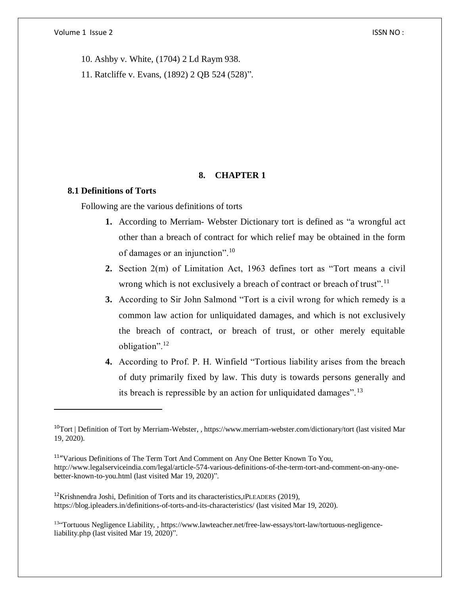10. Ashby v. White, (1704) 2 Ld Raym 938.

11. Ratcliffe v. Evans, (1892) 2 QB 524 (528)".

## **8. CHAPTER 1**

## **8.1 Definitions of Torts**

 $\overline{a}$ 

Following are the various definitions of torts

- **1.** According to Merriam- Webster Dictionary tort is defined as "a wrongful act other than a breach of contract for which relief may be obtained in the form of damages or an injunction".<sup>10</sup>
- **2.** Section 2(m) of Limitation Act, 1963 defines tort as "Tort means a civil wrong which is not exclusively a breach of contract or breach of trust".<sup>11</sup>
- **3.** According to Sir John Salmond "Tort is a civil wrong for which remedy is a common law action for unliquidated damages, and which is not exclusively the breach of contract, or breach of trust, or other merely equitable obligation".<sup>12</sup>
- **4.** According to Prof. P. H. Winfield "Tortious liability arises from the breach of duty primarily fixed by law. This duty is towards persons generally and its breach is repressible by an action for unliquidated damages".<sup>13</sup>

 $12$ Krishnendra Joshi, Definition of Torts and its characteristics, IPLEADERS (2019), <https://blog.ipleaders.in/definitions-of-torts-and-its-characteristics/> (last visited Mar 19, 2020).

<sup>13</sup>"Tortuous Negligence Liability, , [https://www.lawteacher.net/free-law-essays/tort-law/tortuous-negligence](https://www.lawteacher.net/free-law-essays/tort-law/tortuous-negligence-liability.php)[liability.php](https://www.lawteacher.net/free-law-essays/tort-law/tortuous-negligence-liability.php) (last visited Mar 19, 2020)".

<sup>&</sup>lt;sup>10</sup>Tort | Definition of Tort by Merriam-Webster, , https://www.merriam-webster.com/dictionary/tort (last visited Mar 19, 2020).

<sup>&</sup>lt;sup>11</sup> "Various Definitions of The Term Tort And Comment on Any One Better Known To You, http://www.legalserviceindia.com/legal/article-574-various-definitions-of-the-term-tort-and-comment-on-any-onebetter-known-to-you.html (last visited Mar 19, 2020)".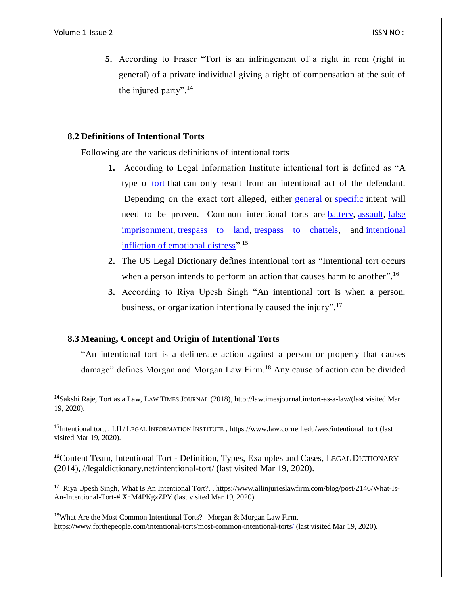#### Volume 1 Issue 2 ISSN NO : ISSN NO : ISSN NO : ISSN NO : ISSN NO : ISSN NO : ISSN NO :

 $\overline{\phantom{a}}$ 

**5.** According to Fraser "Tort is an infringement of a right in rem (right in general) of a private individual giving a right of compensation at the suit of the injured party".<sup>14</sup>

# **8.2 Definitions of Intentional Torts**

Following are the various definitions of intentional torts

- **1.** According to Legal Information Institute intentional tort is defined as "A type of [tort](https://www.law.cornell.edu/wex/tort) that can only result from an intentional act of the defendant. Depending on the exact tort alleged, either [general](https://www.law.cornell.edu/wex/general_intent) or [specific](https://www.law.cornell.edu/wex/specific_intent) intent will need to be proven. Common intentional torts are [battery,](https://www.law.cornell.edu/wex/battery) [assault,](https://www.law.cornell.edu/wex/assault) [false](https://www.law.cornell.edu/wex/false_imprisonment)  [imprisonment,](https://www.law.cornell.edu/wex/false_imprisonment) [trespass to land,](https://www.law.cornell.edu/wex/trespass) [trespass to chattels,](https://www.law.cornell.edu/wex/trespass_to_chattels) and [intentional](https://www.law.cornell.edu/wex/intentional_infliction_of_emotional_distress)  [infliction of emotional distress"](https://www.law.cornell.edu/wex/intentional_infliction_of_emotional_distress).<sup>15</sup>
- **2.** The US Legal Dictionary defines intentional tort as "Intentional tort occurs when a person intends to perform an action that causes harm to another".<sup>16</sup>
- **3.** According to Riya Upesh Singh "An intentional tort is when a person, business, or organization intentionally caused the injury".<sup>17</sup>

# **8.3 Meaning, Concept and Origin of Intentional Torts**

"An intentional tort is a deliberate action against a person or property that causes damage" defines Morgan and Morgan Law Firm.<sup>18</sup> Any cause of action can be divided

**<sup>16</sup>**Content Team, Intentional Tort - Definition, Types, Examples and Cases, LEGAL DICTIONARY (2014), [//legaldictionary.net/intentional-tort/](https://doi.org/legaldictionary.net/intentional-tort/) (last visited Mar 19, 2020).

<sup>17</sup> Riya Upesh Singh, What Is An Intentional Tort?, [, https://www.allinjurieslawfirm.com/blog/post/2146/What-Is-](https://www.allinjurieslawfirm.com/blog/post/2146/What-Is-An-Intentional-Tort-#.XnM4PKgzZPY)[An-Intentional-Tort-#.XnM4PKgzZPY](https://www.allinjurieslawfirm.com/blog/post/2146/What-Is-An-Intentional-Tort-#.XnM4PKgzZPY) (last visited Mar 19, 2020).

<sup>18</sup>What Are the Most Common Intentional Torts? | Morgan & Morgan Law Firm, https://www.forthepeople.com/intentional-torts/most-common-intentional-torts/ (last visited Mar 19, 2020).

<sup>&</sup>lt;sup>14</sup>Sakshi Raje, Tort as a Law, LAW TIMES JOURNAL (2018), [http://lawtimesjournal.in/tort-as-a-law/\(](http://lawtimesjournal.in/tort-as-a-law/)last visited Mar 19, 2020).

<sup>&</sup>lt;sup>15</sup>Intentional tort, , LII / LEGAL INFORMATION INSTITUTE[, https://www.law.cornell.edu/wex/intentional\\_tort](https://www.law.cornell.edu/wex/intentional_tort) (last visited Mar 19, 2020).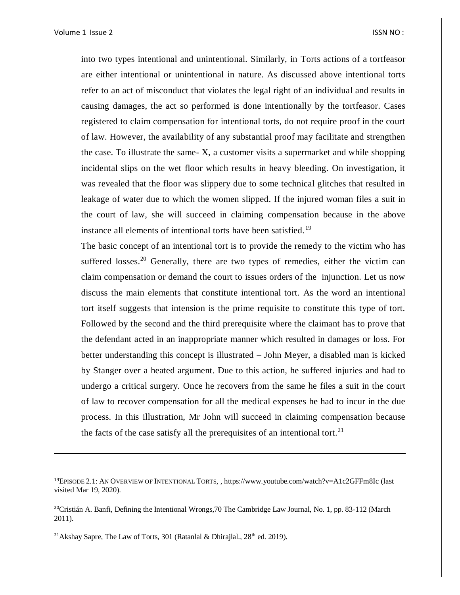$\overline{a}$ 

into two types intentional and unintentional. Similarly, in Torts actions of a tortfeasor are either intentional or unintentional in nature. As discussed above intentional torts refer to an act of misconduct that violates the legal right of an individual and results in causing damages, the act so performed is done intentionally by the tortfeasor. Cases registered to claim compensation for intentional torts, do not require proof in the court of law. However, the availability of any substantial proof may facilitate and strengthen the case. To illustrate the same- X, a customer visits a supermarket and while shopping incidental slips on the wet floor which results in heavy bleeding. On investigation, it was revealed that the floor was slippery due to some technical glitches that resulted in leakage of water due to which the women slipped. If the injured woman files a suit in the court of law, she will succeed in claiming compensation because in the above instance all elements of intentional torts have been satisfied.<sup>19</sup>

The basic concept of an intentional tort is to provide the remedy to the victim who has suffered losses.<sup>20</sup> Generally, there are two types of remedies, either the victim can claim compensation or demand the court to issues orders of the injunction. Let us now discuss the main elements that constitute intentional tort. As the word an intentional tort itself suggests that intension is the prime requisite to constitute this type of tort. Followed by the second and the third prerequisite where the claimant has to prove that the defendant acted in an inappropriate manner which resulted in damages or loss. For better understanding this concept is illustrated – John Meyer, a disabled man is kicked by Stanger over a heated argument. Due to this action, he suffered injuries and had to undergo a critical surgery. Once he recovers from the same he files a suit in the court of law to recover compensation for all the medical expenses he had to incur in the due process. In this illustration, Mr John will succeed in claiming compensation because the facts of the case satisfy all the prerequisites of an intentional tort.<sup>21</sup>

<sup>&</sup>lt;sup>19</sup>EPISODE 2.1: AN OVERVIEW OF INTENTIONAL TORTS, [, https://www.youtube.com/watch?v=A1c2GFFm8Ic](https://www.youtube.com/watch?v=A1c2GFFm8Ic) (last visited Mar 19, 2020).

<sup>&</sup>lt;sup>20</sup>Cristián A. Banfi, Defining the Intentional Wrongs,70 The Cambridge Law Journal, No. 1, pp. 83-112 (March 2011).

<sup>&</sup>lt;sup>21</sup>Akshay Sapre, The Law of Torts, 301 (Ratanlal & Dhirajlal.,  $28<sup>th</sup>$  ed. 2019).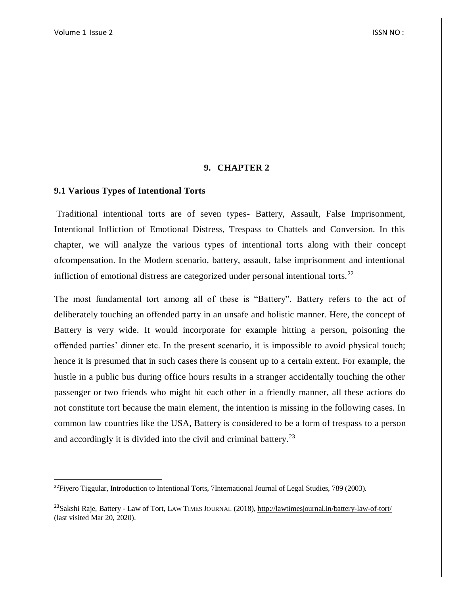$\overline{a}$ 

## **9. CHAPTER 2**

## **9.1 Various Types of Intentional Torts**

Traditional intentional torts are of seven types- Battery, Assault, False Imprisonment, Intentional Infliction of Emotional Distress, Trespass to Chattels and Conversion. In this chapter, we will analyze the various types of intentional torts along with their concept ofcompensation. In the Modern scenario, battery, assault, false imprisonment and intentional infliction of emotional distress are categorized under personal intentional torts.<sup>22</sup>

The most fundamental tort among all of these is "Battery". Battery refers to the act of deliberately touching an offended party in an unsafe and holistic manner. Here, the concept of Battery is very wide. It would incorporate for example hitting a person, poisoning the offended parties' dinner etc. In the present scenario, it is impossible to avoid physical touch; hence it is presumed that in such cases there is consent up to a certain extent. For example, the hustle in a public bus during office hours results in a stranger accidentally touching the other passenger or two friends who might hit each other in a friendly manner, all these actions do not constitute tort because the main element, the intention is missing in the following cases. In common law countries like the USA, Battery is considered to be a form of trespass to a person and accordingly it is divided into the civil and criminal battery.<sup>23</sup>

 $^{22}$ Fiyero Tiggular, Introduction to Intentional Torts, 7International Journal of Legal Studies, 789 (2003).

<sup>&</sup>lt;sup>23</sup>Sakshi Raje, Battery - Law of Tort, LAW TIMES JOURNAL (2018)[, http://lawtimesjournal.in/battery-law-of-tort/](http://lawtimesjournal.in/battery-law-of-tort/) (last visited Mar 20, 2020).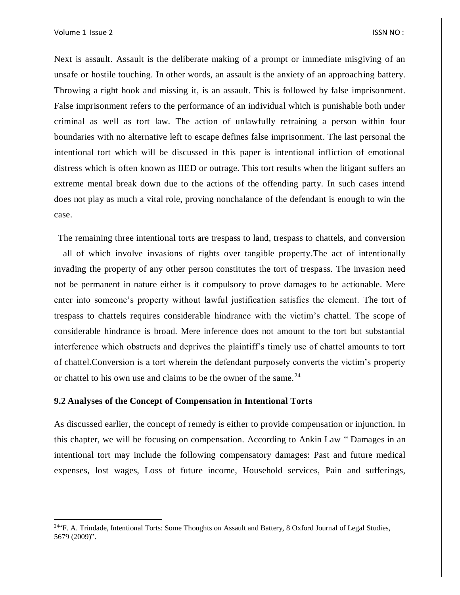$\overline{\phantom{a}}$ 

Next is assault. Assault is the deliberate making of a prompt or immediate misgiving of an unsafe or hostile touching. In other words, an assault is the anxiety of an approaching battery. Throwing a right hook and missing it, is an assault. This is followed by false imprisonment. False imprisonment refers to the performance of an individual which is punishable both under criminal as well as tort law. The action of unlawfully retraining a person within four boundaries with no alternative left to escape defines false imprisonment. The last personal the intentional tort which will be discussed in this paper is intentional infliction of emotional distress which is often known as IIED or outrage. This tort results when the litigant suffers an extreme mental break down due to the actions of the offending party. In such cases intend does not play as much a vital role, proving nonchalance of the defendant is enough to win the case.

The remaining three intentional torts are trespass to land, trespass to chattels, and conversion – all of which involve invasions of rights over tangible property.The act of intentionally invading the property of any other person constitutes the tort of trespass. The invasion need not be permanent in nature either is it compulsory to prove damages to be actionable. Mere enter into someone's property without lawful justification satisfies the element. The tort of trespass to chattels requires considerable hindrance with the victim's chattel. The scope of considerable hindrance is broad. Mere inference does not amount to the tort but substantial interference which obstructs and deprives the plaintiff's timely use of chattel amounts to tort of chattel.Conversion is a tort wherein the defendant purposely converts the victim's property or chattel to his own use and claims to be the owner of the same.<sup>24</sup>

## **9.2 Analyses of the Concept of Compensation in Intentional Torts**

As discussed earlier, the concept of remedy is either to provide compensation or injunction. In this chapter, we will be focusing on compensation. According to Ankin Law " Damages in an intentional tort may include the following compensatory damages: Past and future medical expenses, lost wages, Loss of future income, Household services, Pain and sufferings,

<sup>&</sup>lt;sup>24</sup> F. A. Trindade, Intentional Torts: Some Thoughts on Assault and Battery, 8 Oxford Journal of Legal Studies, 5679 (2009)".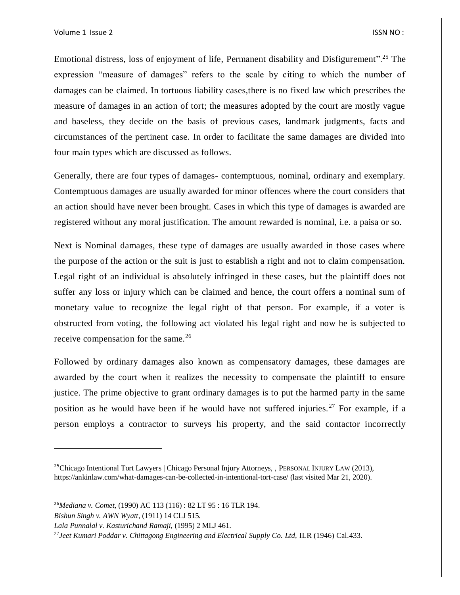Emotional distress, loss of enjoyment of life, Permanent disability and Disfigurement".<sup>25</sup> The expression "measure of damages" refers to the scale by citing to which the number of damages can be claimed. In tortuous liability cases,there is no fixed law which prescribes the measure of damages in an action of tort; the measures adopted by the court are mostly vague and baseless, they decide on the basis of previous cases, landmark judgments, facts and circumstances of the pertinent case. In order to facilitate the same damages are divided into four main types which are discussed as follows.

Generally, there are four types of damages- contemptuous, nominal, ordinary and exemplary. Contemptuous damages are usually awarded for minor offences where the court considers that an action should have never been brought. Cases in which this type of damages is awarded are registered without any moral justification. The amount rewarded is nominal, i.e. a paisa or so.

Next is Nominal damages, these type of damages are usually awarded in those cases where the purpose of the action or the suit is just to establish a right and not to claim compensation. Legal right of an individual is absolutely infringed in these cases, but the plaintiff does not suffer any loss or injury which can be claimed and hence, the court offers a nominal sum of monetary value to recognize the legal right of that person. For example, if a voter is obstructed from voting, the following act violated his legal right and now he is subjected to receive compensation for the same.<sup>26</sup>

Followed by ordinary damages also known as compensatory damages, these damages are awarded by the court when it realizes the necessity to compensate the plaintiff to ensure justice. The prime objective to grant ordinary damages is to put the harmed party in the same position as he would have been if he would have not suffered injuries.<sup>27</sup> For example, if a person employs a contractor to surveys his property, and the said contactor incorrectly

 $\overline{a}$ 

<sup>&</sup>lt;sup>25</sup>Chicago Intentional Tort Lawyers | Chicago Personal Injury Attorneys, , PERSONAL INJURY LAW (2013), https://ankinlaw.com/what-damages-can-be-collected-in-intentional-tort-case/ (last visited Mar 21, 2020).

<sup>26</sup>*Mediana v. Comet*, (1990) AC 113 (116) : 82 LT 95 : 16 TLR 194.

*Bishun Singh v. AWN Wyatt*, (1911) 14 CLJ 515.

*Lala Punnalal v. Kasturichand Ramaji*, (1995) 2 MLJ 461.

<sup>27</sup>*Jeet Kumari Poddar v. Chittagong Engineering and Electrical Supply Co. Ltd,* ILR (1946) Cal.433.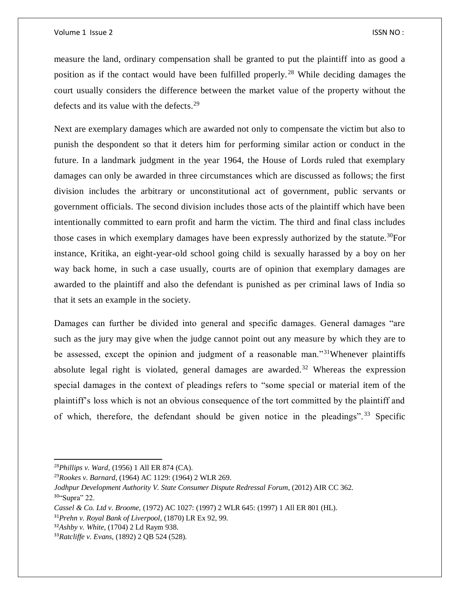measure the land, ordinary compensation shall be granted to put the plaintiff into as good a position as if the contact would have been fulfilled properly. <sup>28</sup> While deciding damages the court usually considers the difference between the market value of the property without the defects and its value with the defects.<sup>29</sup>

Next are exemplary damages which are awarded not only to compensate the victim but also to punish the despondent so that it deters him for performing similar action or conduct in the future. In a landmark judgment in the year 1964, the House of Lords ruled that exemplary damages can only be awarded in three circumstances which are discussed as follows; the first division includes the arbitrary or unconstitutional act of government, public servants or government officials. The second division includes those acts of the plaintiff which have been intentionally committed to earn profit and harm the victim. The third and final class includes those cases in which exemplary damages have been expressly authorized by the statute.<sup>30</sup>For instance, Kritika, an eight-year-old school going child is sexually harassed by a boy on her way back home, in such a case usually, courts are of opinion that exemplary damages are awarded to the plaintiff and also the defendant is punished as per criminal laws of India so that it sets an example in the society.

Damages can further be divided into general and specific damages. General damages "are such as the jury may give when the judge cannot point out any measure by which they are to be assessed, except the opinion and judgment of a reasonable man."<sup>31</sup>Whenever plaintiffs absolute legal right is violated, general damages are awarded.<sup>32</sup> Whereas the expression special damages in the context of pleadings refers to "some special or material item of the plaintiff's loss which is not an obvious consequence of the tort committed by the plaintiff and of which, therefore, the defendant should be given notice in the pleadings".<sup>33</sup> Specific

 $\overline{a}$ 

<sup>28</sup>*Phillips v. Ward*, (1956) 1 All ER 874 (CA).

<sup>29</sup>*Rookes v. Barnard*, (1964) AC 1129: (1964) 2 WLR 269.

*Jodhpur Development Authority V. State Consumer Dispute Redressal Forum*, (2012) AIR CC 362. <sup>30</sup>"Supra" 22.

*Cassel & Co. Ltd v. Broome,* (1972) AC 1027: (1997) 2 WLR 645: (1997) 1 All ER 801 (HL).

<sup>31</sup>*Prehn v. Royal Bank of Liverpool*, (1870) LR Ex 92, 99.

<sup>32</sup>*Ashby v. White*, (1704) 2 Ld Raym 938.

<sup>33</sup>*Ratcliffe v. Evans,* (1892) 2 QB 524 (528).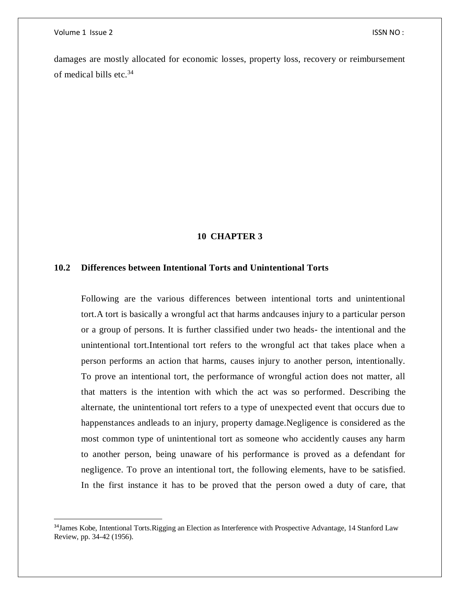$\overline{\phantom{a}}$ 

damages are mostly allocated for economic losses, property loss, recovery or reimbursement of medical bills etc. $34$ 

## **10 CHAPTER 3**

## **10.2 Differences between Intentional Torts and Unintentional Torts**

Following are the various differences between intentional torts and unintentional tort.A tort is basically a wrongful act that harms andcauses injury to a particular person or a group of persons. It is further classified under two heads- the intentional and the unintentional tort.Intentional tort refers to the wrongful act that takes place when a person performs an action that harms, causes injury to another person, intentionally. To prove an intentional tort, the performance of wrongful action does not matter, all that matters is the intention with which the act was so performed. Describing the alternate, the unintentional tort refers to a type of unexpected event that occurs due to happenstances andleads to an injury, property damage.Negligence is considered as the most common type of unintentional tort as someone who accidently causes any harm to another person, being unaware of his performance is proved as a defendant for negligence. To prove an intentional tort, the following elements, have to be satisfied. In the first instance it has to be proved that the person owed a duty of care, that

<sup>&</sup>lt;sup>34</sup> James Kobe, Intentional Torts. Rigging an Election as Interference with Prospective Advantage, 14 Stanford Law Review, pp. 34-42 (1956).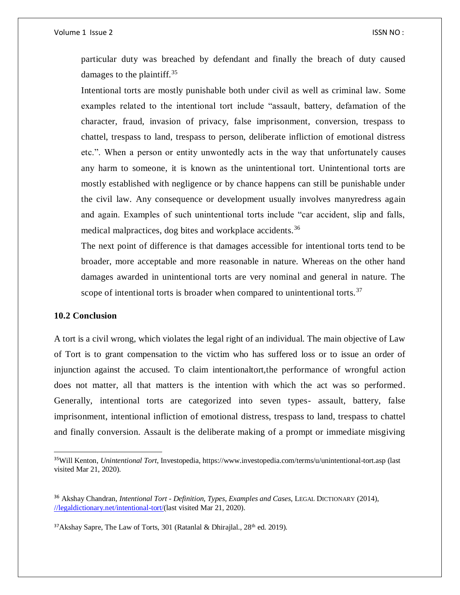particular duty was breached by defendant and finally the breach of duty caused damages to the plaintiff.<sup>35</sup>

Intentional torts are mostly punishable both under civil as well as criminal law. Some examples related to the intentional tort include "assault, battery, defamation of the character, fraud, invasion of privacy, false imprisonment, conversion, trespass to chattel, trespass to land, trespass to person, deliberate infliction of emotional distress etc.". When a person or entity unwontedly acts in the way that unfortunately causes any harm to someone, it is known as the unintentional tort. Unintentional torts are mostly established with negligence or by chance happens can still be punishable under the civil law. Any consequence or development usually involves manyredress again and again. Examples of such unintentional torts include "car accident, slip and falls, medical malpractices, dog bites and workplace accidents.<sup>36</sup>

The next point of difference is that damages accessible for intentional torts tend to be broader, more acceptable and more reasonable in nature. Whereas on the other hand damages awarded in unintentional torts are very nominal and general in nature. The scope of intentional torts is broader when compared to unintentional torts.<sup>37</sup>

## **10.2 Conclusion**

 $\overline{a}$ 

A tort is a civil wrong, which violates the legal right of an individual. The main objective of Law of Tort is to grant compensation to the victim who has suffered loss or to issue an order of injunction against the accused. To claim intentionaltort,the performance of wrongful action does not matter, all that matters is the intention with which the act was so performed. Generally, intentional torts are categorized into seven types- assault, battery, false imprisonment, intentional infliction of emotional distress, trespass to land, trespass to chattel and finally conversion. Assault is the deliberate making of a prompt or immediate misgiving

<sup>35</sup>Will Kenton, *Unintentional Tort*, Investopedia, https://www.investopedia.com/terms/u/unintentional-tort.asp (last visited Mar 21, 2020).

<sup>36</sup> Akshay Chandran, *Intentional Tort - Definition, Types, Examples and Cases*, LEGAL DICTIONARY (2014), [//legaldictionary.net/intentional-tort/\(](https://doi.org/legaldictionary.net/intentional-tort/)last visited Mar 21, 2020).

<sup>&</sup>lt;sup>37</sup>Akshay Sapre, The Law of Torts, 301 (Ratanlal & Dhirajlal.,  $28<sup>th</sup>$  ed. 2019).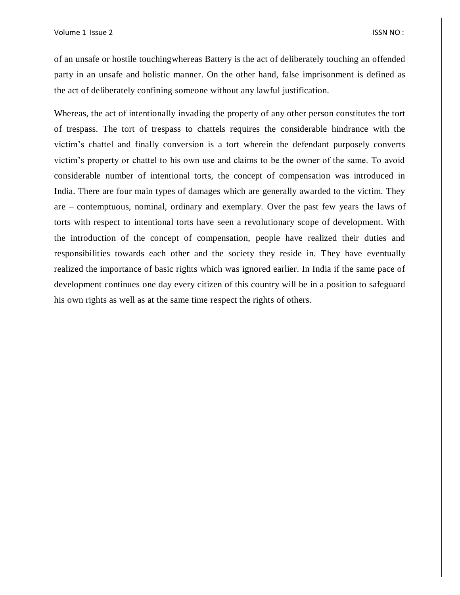of an unsafe or hostile touchingwhereas Battery is the act of deliberately touching an offended party in an unsafe and holistic manner. On the other hand, false imprisonment is defined as the act of deliberately confining someone without any lawful justification.

Whereas, the act of intentionally invading the property of any other person constitutes the tort of trespass. The tort of trespass to chattels requires the considerable hindrance with the victim's chattel and finally conversion is a tort wherein the defendant purposely converts victim's property or chattel to his own use and claims to be the owner of the same. To avoid considerable number of intentional torts, the concept of compensation was introduced in India. There are four main types of damages which are generally awarded to the victim. They are – contemptuous, nominal, ordinary and exemplary. Over the past few years the laws of torts with respect to intentional torts have seen a revolutionary scope of development. With the introduction of the concept of compensation, people have realized their duties and responsibilities towards each other and the society they reside in. They have eventually realized the importance of basic rights which was ignored earlier. In India if the same pace of development continues one day every citizen of this country will be in a position to safeguard his own rights as well as at the same time respect the rights of others.